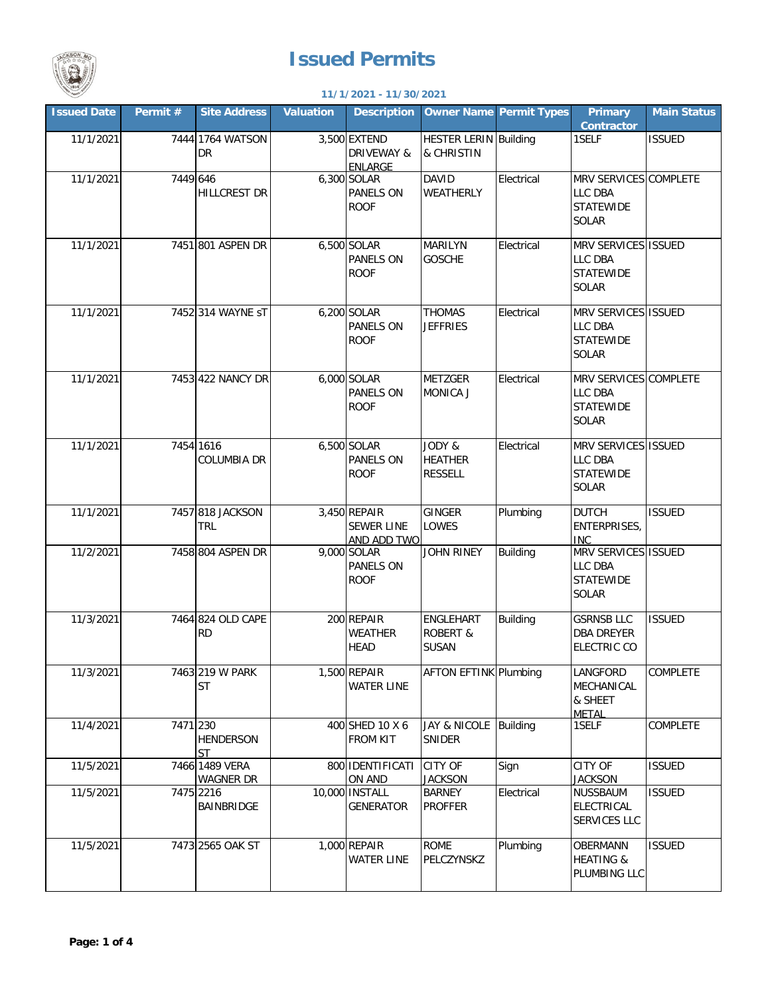



## **11/1/2021 - 11/30/2021**

| <b>Issued Date</b> | Permit # | <b>Site Address</b>                | <b>Valuation</b> | <b>Description</b>                               |                                                  | <b>Owner Name Permit Types</b> | <b>Primary</b><br><b>Contractor</b>                                  | <b>Main Status</b> |
|--------------------|----------|------------------------------------|------------------|--------------------------------------------------|--------------------------------------------------|--------------------------------|----------------------------------------------------------------------|--------------------|
| 11/1/2021          |          | 7444 1764 WATSON<br><b>DR</b>      |                  | 3,500 EXTEND<br>DRIVEWAY &<br><b>ENLARGE</b>     | <b>HESTER LERIN Building</b><br>& CHRISTIN       |                                | 1SELF                                                                | <b>ISSUED</b>      |
| 11/1/2021          | 7449 646 | <b>HILLCREST DR</b>                |                  | 6,300 SOLAR<br>PANELS ON<br><b>ROOF</b>          | <b>DAVID</b><br>WEATHERLY                        | Electrical                     | MRV SERVICES COMPLETE<br>LLC DBA<br><b>STATEWIDE</b><br>SOLAR        |                    |
| 11/1/2021          |          | 7451 801 ASPEN DR                  |                  | 6,500 SOLAR<br><b>PANELS ON</b><br><b>ROOF</b>   | MARILYN<br><b>GOSCHE</b>                         | Electrical                     | MRV SERVICES ISSUED<br>LLC DBA<br><b>STATEWIDE</b><br>SOLAR          |                    |
| 11/1/2021          |          | 7452 314 WAYNE ST                  |                  | 6,200 SOLAR<br>PANELS ON<br><b>ROOF</b>          | <b>THOMAS</b><br><b>JEFFRIES</b>                 | Electrical                     | MRV SERVICES ISSUED<br>LLC DBA<br><b>STATEWIDE</b><br>SOLAR          |                    |
| 11/1/2021          |          | 7453 422 NANCY DR                  |                  | 6,000 SOLAR<br>PANELS ON<br><b>ROOF</b>          | <b>METZGER</b><br>MONICA J                       | Electrical                     | MRV SERVICES COMPLETE<br><b>LLC DBA</b><br><b>STATEWIDE</b><br>SOLAR |                    |
| 11/1/2021          |          | 7454 1616<br><b>COLUMBIA DR</b>    |                  | 6,500 SOLAR<br><b>PANELS ON</b><br><b>ROOF</b>   | JODY &<br><b>HEATHER</b><br><b>RESSELL</b>       | Electrical                     | MRV SERVICES ISSUED<br>LLC DBA<br><b>STATEWIDE</b><br><b>SOLAR</b>   |                    |
| 11/1/2021          |          | 7457 818 JACKSON<br><b>TRL</b>     |                  | 3,450 REPAIR<br><b>SEWER LINE</b><br>AND ADD TWO | GINGER<br>LOWES                                  | Plumbing                       | <b>DUTCH</b><br><b>ENTERPRISES,</b><br><b>INC</b>                    | <b>ISSUED</b>      |
| 11/2/2021          |          | 7458 804 ASPEN DR                  |                  | 9,000 SOLAR<br>PANELS ON<br><b>ROOF</b>          | JOHN RINEY                                       | <b>Building</b>                | MRV SERVICES ISSUED<br>LLC DBA<br><b>STATEWIDE</b><br><b>SOLAR</b>   |                    |
| 11/3/2021          |          | 7464 824 OLD CAPE<br><b>RD</b>     |                  | 200 REPAIR<br><b>WEATHER</b><br><b>HEAD</b>      | ENGLEHART<br><b>ROBERT &amp;</b><br><b>SUSAN</b> | <b>Building</b>                | <b>GSRNSB LLC</b><br><b>DBA DREYER</b><br><b>ELECTRIC CO</b>         | <b>ISSUED</b>      |
| 11/3/2021          |          | 7463 219 W PARK<br>ST              |                  | 1,500 REPAIR<br><b>WATER LINE</b>                | <b>AFTON EFTINK Plumbing</b>                     |                                | LANGFORD<br>MECHANICAL<br>& SHEET<br><b>METAL</b>                    | <b>COMPLETE</b>    |
| 11/4/2021          | 7471 230 | <b>HENDERSON</b><br><b>ST</b>      |                  | 400 SHED 10 X 6<br><b>FROM KIT</b>               | JAY & NICOLE<br>SNIDER                           | Building                       | 1SELF                                                                | COMPLETE           |
| 11/5/2021          |          | 7466 1489 VERA<br><b>WAGNER DR</b> |                  | 800 IDENTIFICATI<br>ON AND                       | <b>CITY OF</b><br><b>JACKSON</b>                 | Sign                           | <b>CITY OF</b><br><b>JACKSON</b>                                     | <b>ISSUED</b>      |
| 11/5/2021          |          | 7475 2216<br>BAINBRIDGE            |                  | 10,000 INSTALL<br><b>GENERATOR</b>               | <b>BARNEY</b><br><b>PROFFER</b>                  | Electrical                     | NUSSBAUM<br>ELECTRICAL<br>SERVICES LLC                               | <b>ISSUED</b>      |
| 11/5/2021          |          | 7473 2565 OAK ST                   |                  | 1,000 REPAIR<br><b>WATER LINE</b>                | <b>ROME</b><br>PELCZYNSKZ                        | Plumbing                       | <b>OBERMANN</b><br><b>HEATING &amp;</b><br>PLUMBING LLC              | <b>ISSUED</b>      |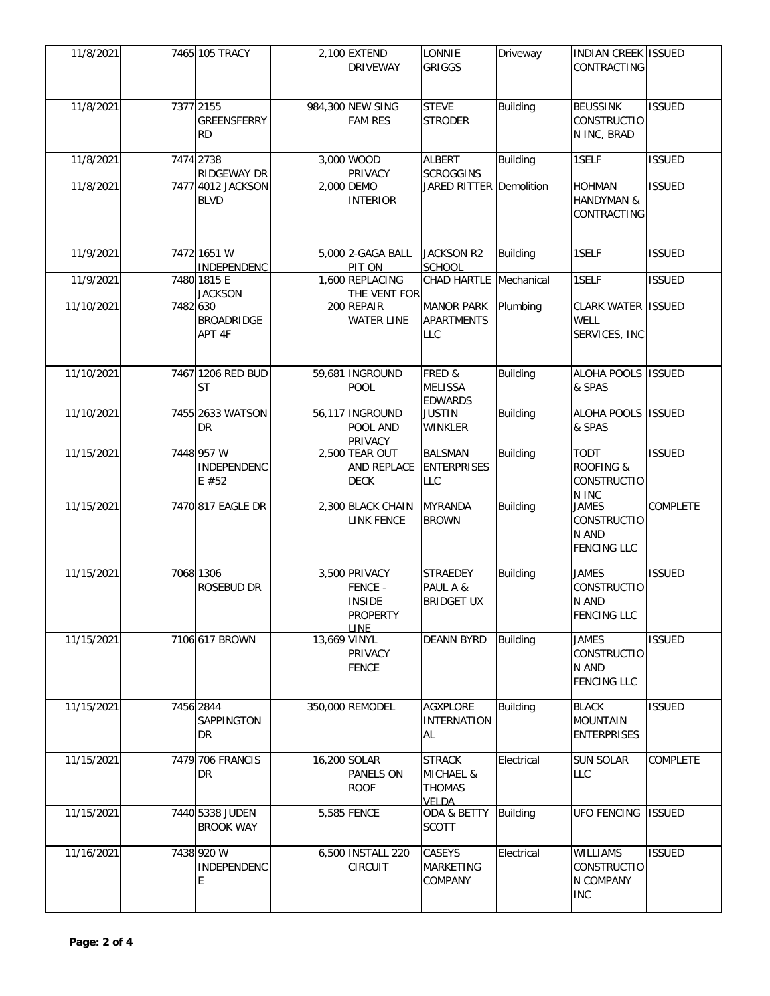| 11/8/2021  |          | 7465 105 TRACY                               |              | 2,100 EXTEND<br><b>DRIVEWAY</b>                                      | LONNIE<br><b>GRIGGS</b>                                         | Driveway        | <b>INDIAN CREEK ISSUED</b><br>CONTRACTING                         |                 |
|------------|----------|----------------------------------------------|--------------|----------------------------------------------------------------------|-----------------------------------------------------------------|-----------------|-------------------------------------------------------------------|-----------------|
| 11/8/2021  |          | 7377 2155<br><b>GREENSFERRY</b><br><b>RD</b> |              | 984,300 NEW SING<br><b>FAM RES</b>                                   | <b>STEVE</b><br><b>STRODER</b>                                  | <b>Building</b> | <b>BEUSSINK</b><br><b>CONSTRUCTIO</b><br>N INC, BRAD              | <b>ISSUED</b>   |
| 11/8/2021  |          | 7474 2738<br><b>RIDGEWAY DR</b>              |              | 3,000 WOOD<br>PRIVACY                                                | <b>ALBERT</b><br><b>SCROGGINS</b>                               | <b>Building</b> | 1SELF                                                             | <b>ISSUED</b>   |
| 11/8/2021  |          | 7477 4012 JACKSON<br><b>BLVD</b>             |              | 2,000 DEMO<br><b>INTERIOR</b>                                        | JARED RITTER Demolition                                         |                 | <b>HOHMAN</b><br>HANDYMAN &<br>CONTRACTING                        | <b>ISSUED</b>   |
| 11/9/2021  |          | 7472 1651 W<br><b>INDEPENDENC</b>            |              | 5,000 2-GAGA BALL<br>PIT ON                                          | <b>JACKSON R2</b><br><b>SCHOOL</b>                              | <b>Building</b> | 1SELF                                                             | <b>ISSUED</b>   |
| 11/9/2021  |          | 7480 1815 E<br><b>JACKSON</b>                |              | 1,600 REPLACING<br>THE VENT FOR                                      | CHAD HARTLE Mechanical                                          |                 | 1SELF                                                             | <b>ISSUED</b>   |
| 11/10/2021 | 7482 630 | <b>BROADRIDGE</b><br>APT 4F                  |              | 200 REPAIR<br><b>WATER LINE</b>                                      | <b>MANOR PARK</b><br><b>APARTMENTS</b><br><b>LLC</b>            | Plumbing        | <b>CLARK WATER</b><br><b>WELL</b><br>SERVICES, INC                | <b>ISSUED</b>   |
| 11/10/2021 |          | 7467 1206 RED BUD<br><b>ST</b>               |              | 59,681 INGROUND<br>POOL                                              | FRED &<br><b>MELISSA</b><br><b>EDWARDS</b>                      | <b>Building</b> | <b>ALOHA POOLS</b><br>& SPAS                                      | <b>ISSUED</b>   |
| 11/10/2021 |          | 7455 2633 WATSON<br>DR                       |              | 56,117 INGROUND<br>POOL AND<br><b>PRIVACY</b>                        | <b>JUSTIN</b><br>WINKLER                                        | <b>Building</b> | ALOHA POOLS ISSUED<br>& SPAS                                      |                 |
| 11/15/2021 |          | 7448 957 W<br>INDEPENDENC<br>E#52            |              | 2,500 TEAR OUT<br>AND REPLACE<br><b>DECK</b>                         | <b>BALSMAN</b><br><b>ENTERPRISES</b><br><b>LLC</b>              | <b>Building</b> | <b>TODT</b><br><b>ROOFING &amp;</b><br>CONSTRUCTIO<br>N INC       | <b>ISSUED</b>   |
| 11/15/2021 |          | 7470 817 EAGLE DR                            |              | 2,300 BLACK CHAIN<br><b>LINK FENCE</b>                               | <b>MYRANDA</b><br><b>BROWN</b>                                  | <b>Building</b> | <b>JAMES</b><br><b>CONSTRUCTIO</b><br>N AND<br><b>FENCING LLC</b> | COMPLETE        |
| 11/15/2021 |          | 7068 1306<br>ROSEBUD DR                      |              | 3,500 PRIVACY<br>FENCE -<br><b>INSIDE</b><br><b>PROPERTY</b><br>LINE | <b>STRAEDEY</b><br>PAUL A &<br><b>BRIDGET UX</b>                | Building        | <b>JAMES</b><br><b>CONSTRUCTIO</b><br>N AND<br><b>FENCING LLC</b> | <b>ISSUED</b>   |
| 11/15/2021 |          | 7106 617 BROWN                               | 13,669 VINYL | PRIVACY<br><b>FENCE</b>                                              | <b>DEANN BYRD</b>                                               | <b>Building</b> | <b>JAMES</b><br><b>CONSTRUCTIO</b><br>N AND<br><b>FENCING LLC</b> | <b>ISSUED</b>   |
| 11/15/2021 |          | 7456 2844<br>SAPPINGTON<br>DR                |              | 350,000 REMODEL                                                      | <b>AGXPLORE</b><br><b>INTERNATION</b><br>AL                     | <b>Building</b> | <b>BLACK</b><br><b>MOUNTAIN</b><br><b>ENTERPRISES</b>             | <b>ISSUED</b>   |
| 11/15/2021 |          | 7479 706 FRANCIS<br>DR                       |              | 16,200 SOLAR<br>PANELS ON<br><b>ROOF</b>                             | <b>STRACK</b><br><b>MICHAEL &amp;</b><br><b>THOMAS</b><br>VELDA | Electrical      | <b>SUN SOLAR</b><br><b>LLC</b>                                    | <b>COMPLETE</b> |
| 11/15/2021 |          | 7440 5338 JUDEN<br><b>BROOK WAY</b>          |              | 5,585 FENCE                                                          | ODA & BETTY<br><b>SCOTT</b>                                     | Building        | <b>UFO FENCING</b>                                                | <b>ISSUED</b>   |
| 11/16/2021 |          | 7438 920 W<br>INDEPENDENC<br>E               |              | 6,500 INSTALL 220<br>CIRCUIT                                         | CASEYS<br><b>MARKETING</b><br>COMPANY                           | Electrical      | <b>WILLIAMS</b><br><b>CONSTRUCTIO</b><br>N COMPANY<br><b>INC</b>  | <b>ISSUED</b>   |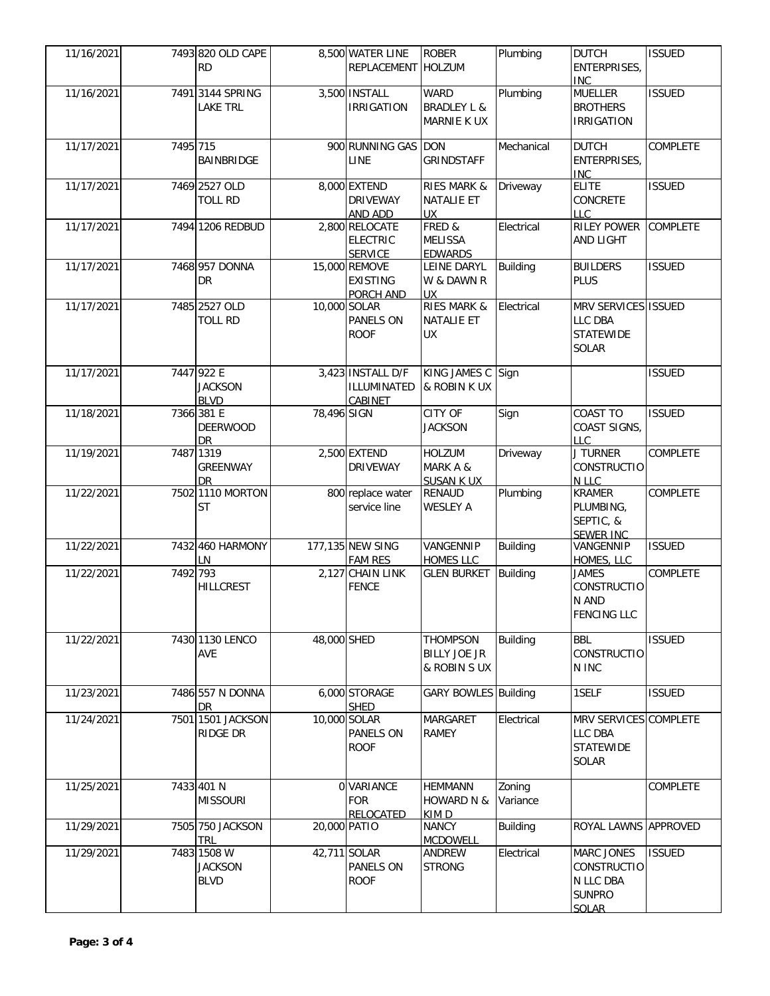| 11/16/2021 |          | 7493 820 OLD CAPE<br><b>RD</b>               |              | 8,500 WATER LINE<br>REPLACEMENT HOLZUM              | <b>ROBER</b>                                                | Plumbing           | <b>DUTCH</b><br>ENTERPRISES,<br><b>INC</b>                                     | <b>ISSUED</b>   |
|------------|----------|----------------------------------------------|--------------|-----------------------------------------------------|-------------------------------------------------------------|--------------------|--------------------------------------------------------------------------------|-----------------|
| 11/16/2021 |          | 7491 3144 SPRING<br><b>LAKE TRL</b>          |              | 3,500 INSTALL<br><b>IRRIGATION</b>                  | <b>WARD</b><br><b>BRADLEY L &amp;</b><br><b>MARNIE K UX</b> | Plumbing           | <b>MUELLER</b><br><b>BROTHERS</b><br><b>IRRIGATION</b>                         | <b>ISSUED</b>   |
| 11/17/2021 | 7495 715 | BAINBRIDGE                                   |              | 900 RUNNING GAS DON<br>LINE                         | <b>GRINDSTAFF</b>                                           | Mechanical         | <b>DUTCH</b><br>ENTERPRISES,<br><b>INC</b>                                     | <b>COMPLETE</b> |
| 11/17/2021 |          | 7469 2527 OLD<br><b>TOLL RD</b>              |              | 8,000 EXTEND<br><b>DRIVEWAY</b><br>AND ADD          | <b>RIES MARK &amp;</b><br><b>NATALIE ET</b><br><b>UX</b>    | Driveway           | <b>ELITE</b><br>CONCRETE<br><b>LLC</b>                                         | <b>ISSUED</b>   |
| 11/17/2021 |          | 7494 1206 REDBUD                             |              | 2,800 RELOCATE<br><b>ELECTRIC</b><br><b>SERVICE</b> | FRED &<br><b>MELISSA</b><br><b>EDWARDS</b>                  | Electrical         | <b>RILEY POWER</b><br><b>AND LIGHT</b>                                         | <b>COMPLETE</b> |
| 11/17/2021 |          | 7468 957 DONNA<br><b>DR</b>                  |              | 15,000 REMOVE<br><b>EXISTING</b><br>PORCH AND       | LEINE DARYL<br>W & DAWN R<br><b>UX</b>                      | <b>Building</b>    | <b>BUILDERS</b><br><b>PLUS</b>                                                 | <b>ISSUED</b>   |
| 11/17/2021 |          | 7485 2527 OLD<br><b>TOLL RD</b>              |              | 10,000 SOLAR<br>PANELS ON<br><b>ROOF</b>            | <b>RIES MARK &amp;</b><br><b>NATALIE ET</b><br><b>UX</b>    | Electrical         | MRV SERVICES ISSUED<br>LLC DBA<br><b>STATEWIDE</b><br><b>SOLAR</b>             |                 |
| 11/17/2021 |          | 7447 922 E<br><b>JACKSON</b><br><b>BLVD</b>  |              | 3,423 INSTALL D/F<br>ILLUMINATED<br>CABINET         | KING JAMES C Sign<br>& ROBIN K UX                           |                    |                                                                                | <b>ISSUED</b>   |
| 11/18/2021 |          | 7366 381 E<br><b>DEERWOOD</b><br>DR          | 78,496 SIGN  |                                                     | <b>CITY OF</b><br><b>JACKSON</b>                            | Sign               | COAST TO<br>COAST SIGNS,<br><b>LLC</b>                                         | <b>ISSUED</b>   |
| 11/19/2021 |          | 7487 1319<br>GREENWAY<br><b>DR</b>           |              | 2,500 EXTEND<br><b>DRIVEWAY</b>                     | <b>HOLZUM</b><br>MARK A &<br><b>SUSAN K UX</b>              | Driveway           | <b>J TURNER</b><br><b>CONSTRUCTIO</b><br>N LLC                                 | <b>COMPLETE</b> |
| 11/22/2021 |          | 7502 1110 MORTON<br><b>ST</b>                |              | 800 replace water<br>service line                   | <b>RENAUD</b><br><b>WESLEY A</b>                            | Plumbing           | <b>KRAMER</b><br>PLUMBING,<br>SEPTIC, &<br><b>SEWER INC</b>                    | <b>COMPLETE</b> |
| 11/22/2021 |          | 7432 460 HARMONY<br>LN.                      |              | 177,135 NEW SING<br><b>FAM RES</b>                  | VANGENNIP<br><b>HOMES LLC</b>                               | <b>Building</b>    | VANGENNIP<br>HOMES, LLC                                                        | <b>ISSUED</b>   |
| 11/22/2021 | 7492 793 | <b>HILLCREST</b>                             |              | 2,127 CHAIN LINK<br><b>FENCE</b>                    | <b>GLEN BURKET</b>                                          | <b>Building</b>    | <b>JAMES</b><br>CONSTRUCTIO<br>N AND<br><b>FENCING LLC</b>                     | <b>COMPLETE</b> |
| 11/22/2021 |          | 7430 1130 LENCO<br>AVE                       | 48,000 SHED  |                                                     | <b>THOMPSON</b><br><b>BILLY JOE JR</b><br>& ROBIN SUX       | <b>Building</b>    | <b>BBL</b><br><b>CONSTRUCTIO</b><br>N INC                                      | <b>ISSUED</b>   |
| 11/23/2021 |          | 7486 557 N DONNA<br><b>DR</b>                |              | 6,000 STORAGE<br><b>SHED</b>                        | <b>GARY BOWLES</b> Building                                 |                    | 1SELF                                                                          | <b>ISSUED</b>   |
| 11/24/2021 |          | 7501 1501 JACKSON<br>RIDGE DR                |              | 10,000 SOLAR<br><b>PANELS ON</b><br><b>ROOF</b>     | <b>MARGARET</b><br><b>RAMEY</b>                             | Electrical         | MRV SERVICES COMPLETE<br>LLC DBA<br><b>STATEWIDE</b><br><b>SOLAR</b>           |                 |
| 11/25/2021 |          | 7433 401 N<br><b>MISSOURI</b>                |              | 0 VARIANCE<br><b>FOR</b><br><b>RELOCATED</b>        | <b>HEMMANN</b><br><b>HOWARD N &amp;</b><br>KIM D            | Zoning<br>Variance |                                                                                | <b>COMPLETE</b> |
| 11/29/2021 |          | 7505 750 JACKSON<br><b>TRL</b>               | 20,000 PATIO |                                                     | <b>NANCY</b><br><b>MCDOWELL</b>                             | <b>Building</b>    | ROYAL LAWNS APPROVED                                                           |                 |
| 11/29/2021 |          | 7483 1508 W<br><b>JACKSON</b><br><b>BLVD</b> |              | 42,711 SOLAR<br>PANELS ON<br><b>ROOF</b>            | ANDREW<br><b>STRONG</b>                                     | Electrical         | <b>MARC JONES</b><br><b>CONSTRUCTIO</b><br>N LLC DBA<br><b>SUNPRO</b><br>SOLAR | <b>ISSUED</b>   |